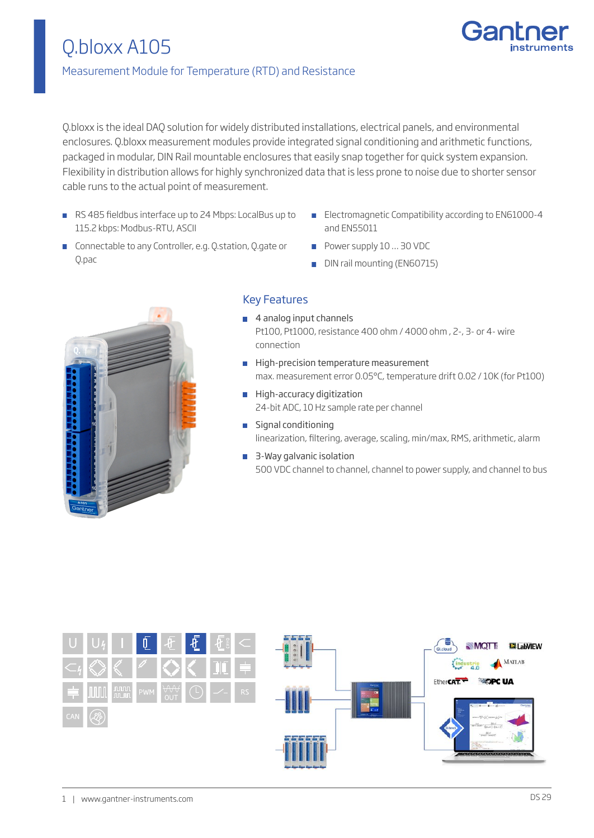

## Measurement Module for Temperature (RTD) and Resistance

Q.bloxx is the ideal DAQ solution for widely distributed installations, electrical panels, and environmental enclosures. Q.bloxx measurement modules provide integrated signal conditioning and arithmetic functions, packaged in modular, DIN Rail mountable enclosures that easily snap together for quick system expansion. Flexibility in distribution allows for highly synchronized data that is less prone to noise due to shorter sensor cable runs to the actual point of measurement.

- RS 485 fieldbus interface up to 24 Mbps: LocalBus up to 115.2 kbps: Modbus-RTU, ASCII
- **Electromagnetic Compatibility according to EN61000-4** and EN55011
- **Connectable to any Controller, e.g. Q.station, Q.gate or** Q.pac
- Power supply 10 ... 30 VDC
- DIN rail mounting (EN60715)



## Key Features

- 4 analog input channels Pt100, Pt1000, resistance 400 ohm / 4000 ohm , 2-, 3- or 4- wire connection
- High-precision temperature measurement max. measurement error 0.05°C, temperature drift 0.02 / 10K (for Pt100)
- **High-accuracy digitization** 24-bit ADC, 10 Hz sample rate per channel
- **Signal conditioning** linearization, filtering, average, scaling, min/max, RMS, arithmetic, alarm
- 3-Way galvanic isolation 500 VDC channel to channel, channel to power supply, and channel to bus

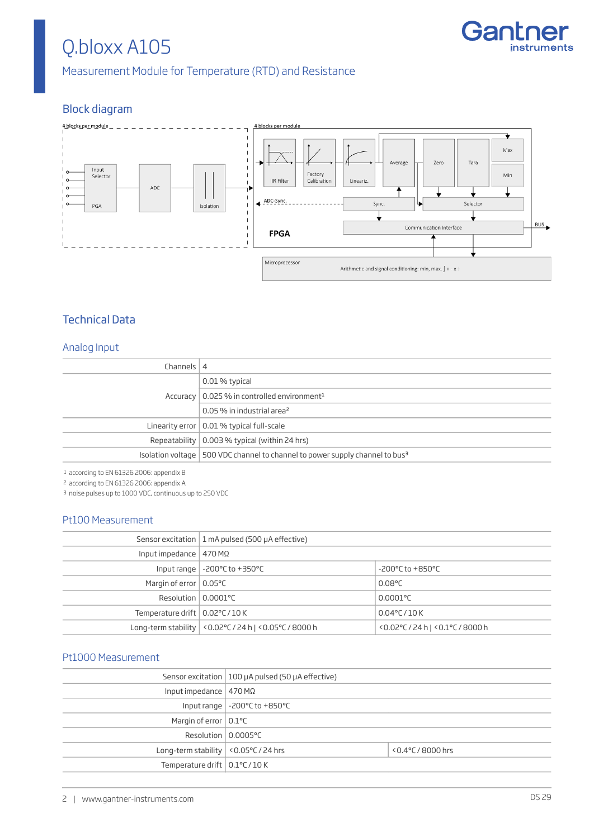

Measurement Module for Temperature (RTD) and Resistance

## Block diagram



## Technical Data

#### Analog Input

| Channels $ 4$ |                                                                                            |
|---------------|--------------------------------------------------------------------------------------------|
|               | 0.01 % typical                                                                             |
|               | Accuracy   0.025 % in controlled environment <sup>1</sup>                                  |
|               | 0.05 % in industrial area <sup>2</sup>                                                     |
|               | Linearity error $\vert$ 0.01 % typical full-scale                                          |
|               | Repeatability $\vert$ 0.003 % typical (within 24 hrs)                                      |
|               | Isolation voltage   500 VDC channel to channel to power supply channel to bus <sup>3</sup> |

1 according to EN 61326 2006: appendix B

2 according to EN 61326 2006: appendix A

3 noise pulses up to 1000 VDC, continuous up to 250 VDC

#### Pt100 Measurement

|                                         | Sensor excitation   1 mA pulsed (500 $\mu$ A effective)             |                                      |
|-----------------------------------------|---------------------------------------------------------------------|--------------------------------------|
| Input impedance   470 M $\Omega$        |                                                                     |                                      |
|                                         | Input range $\vert$ -200 $\degree$ C to +350 $\degree$ C            | $-200^{\circ}$ C to $+850^{\circ}$ C |
| Margin of error $\vert$ 0.05 °C         |                                                                     | $0.08^{\circ}$ C                     |
| Resolution $\vert$ 0.0001°C             |                                                                     | $0.0001$ °C                          |
| Temperature drift $\vert$ 0.02°C / 10 K |                                                                     | $0.04^{\circ}$ C/10K                 |
|                                         | Long-term stability $\vert$ <0.02°C / 24 h $\vert$ <0.05°C / 8000 h | <0.02°C/24 h   <0.1°C/8000 h         |
|                                         |                                                                     |                                      |

#### Pt1000 Measurement

|                                            | Sensor excitation   100 $\mu$ A pulsed (50 $\mu$ A effective) |                       |
|--------------------------------------------|---------------------------------------------------------------|-----------------------|
| Input impedance   $470 M\Omega$            |                                                               |                       |
|                                            | Input range $\vert$ -200 $\degree$ C to +850 $\degree$ C      |                       |
| Margin of error $\vert$ 0.1 °C             |                                                               |                       |
| Resolution   0.0005°C                      |                                                               |                       |
| Long-term stability $ $ < 0.05 °C / 24 hrs |                                                               | $< 0.4$ °C / 8000 hrs |
| Temperature drift $\vert$ 0.1°C / 10 K     |                                                               |                       |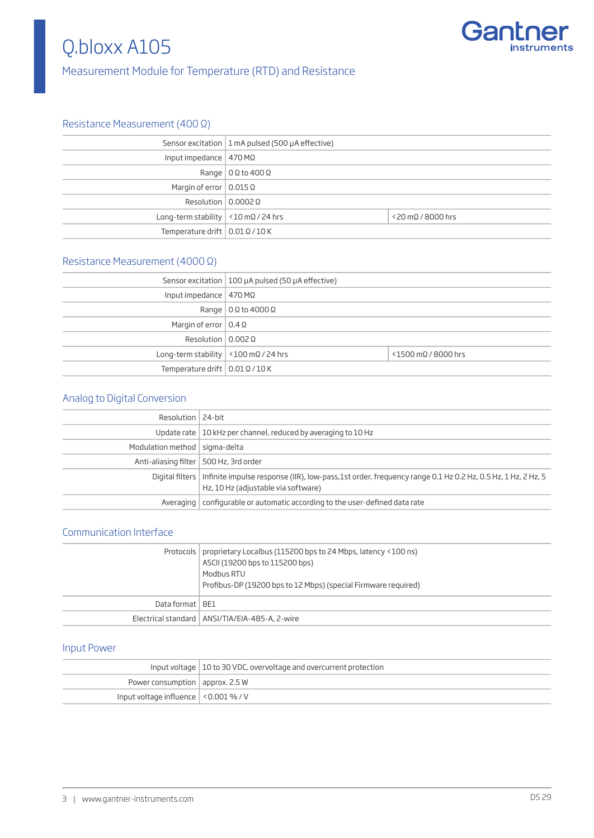

## Measurement Module for Temperature (RTD) and Resistance

### Resistance Measurement (400 Ω)

|                                                    | Sensor excitation   1 mA pulsed (500 $\mu$ A effective) |                              |
|----------------------------------------------------|---------------------------------------------------------|------------------------------|
| Input impedance   $470$ M $\Omega$                 |                                                         |                              |
|                                                    | Range $\vert 0 \Omega$ to 400 $\Omega$                  |                              |
| Margin of error $\vert 0.015 \Omega \vert$         |                                                         |                              |
| Resolution $\vert 0.0002 \Omega \vert$             |                                                         |                              |
| Long-term stability $\vert$ <10 mQ / 24 hrs        |                                                         | $<$ 20 m $\Omega$ / 8000 hrs |
| Temperature drift $\vert 0.01 \Omega / 10 K \vert$ |                                                         |                              |

### Resistance Measurement (4000 Ω)

|                                                    | Sensor excitation   100 $\mu$ A pulsed (50 $\mu$ A effective) |                        |
|----------------------------------------------------|---------------------------------------------------------------|------------------------|
| Input impedance $ $ 470 M $\Omega$                 |                                                               |                        |
|                                                    | Range $\vert 0 \Omega$ to 4000 $\Omega$                       |                        |
| Margin of error $\vert 0.4 \Omega \vert$           |                                                               |                        |
| Resolution $\vert 0.002 \Omega \vert$              |                                                               |                        |
| Long-term stability $\vert$ <100 mQ / 24 hrs       |                                                               | $<$ 1500 mQ / 8000 hrs |
| Temperature drift $\vert 0.01 \Omega / 10 K \vert$ |                                                               |                        |

## Analog to Digital Conversion

| Resolution   24-bit             |                                                                                                                                                                    |
|---------------------------------|--------------------------------------------------------------------------------------------------------------------------------------------------------------------|
|                                 | Update rate   10 kHz per channel, reduced by averaging to 10 Hz                                                                                                    |
| Modulation method   sigma-delta |                                                                                                                                                                    |
|                                 | Anti-aliasing filter   500 Hz, 3rd order                                                                                                                           |
|                                 | Digital filters   Infinite impulse response (IIR), low-pass,1st order, frequency range 0.1 Hz 0.2 Hz, 0.5 Hz, 1 Hz, 2 Hz, 5<br>Hz, 10 Hz (adjustable via software) |
|                                 | Averaging   configurable or automatic according to the user-defined data rate                                                                                      |

### Communication Interface

|                   | Protocols   proprietary Localbus (115200 bps to 24 Mbps, latency <100 ns)<br>ASCII (19200 bps to 115200 bps)<br>Modbus RTU<br>Profibus-DP (19200 bps to 12 Mbps) (special Firmware required) |
|-------------------|----------------------------------------------------------------------------------------------------------------------------------------------------------------------------------------------|
| Data format   8E1 |                                                                                                                                                                                              |
|                   | Electrical standard   ANSI/TIA/EIA-485-A, 2-wire                                                                                                                                             |

#### Input Power

|                                              | Input voltage   10 to 30 VDC, overvoltage and overcurrent protection |
|----------------------------------------------|----------------------------------------------------------------------|
| Power consumption $ $ approx. 2.5 W          |                                                                      |
| Input voltage influence $\vert$ <0.001 % / V |                                                                      |